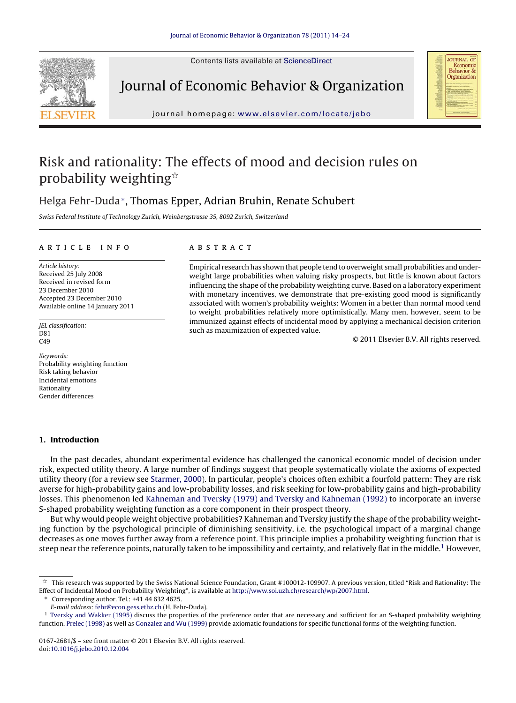Contents lists available at [ScienceDirect](http://www.sciencedirect.com/science/journal/01672681)



Journal of Economic Behavior & Organization



journal homepage: [www.elsevier.com/locate/jebo](http://www.elsevier.com/locate/jebo)

# Risk and rationality: The effects of mood and decision rules on probability weighting $\dot{\mathbb{r}}$

# Helga Fehr-Duda∗, Thomas Epper, Adrian Bruhin, Renate Schubert

Swiss Federal Institute of Technology Zurich, Weinbergstrasse 35, 8092 Zurich, Switzerland

#### article info

Article history: Received 25 July 2008 Received in revised form 23 December 2010 Accepted 23 December 2010 Available online 14 January 2011

JEL classification:  $DS1$  $C49$ 

Keywords: Probability weighting function Risk taking behavior Incidental emotions Rationality Gender differences

#### **1. Introduction**

## In the past decades, abundant experimental evidence has challenged the canonical economic model of decision under risk, expected utility theory. A large number of findings suggest that people systematically violate the axioms of expected utility theory (for a review see [Starmer, 2000\).](#page-10-0) In particular, people's choices often exhibit a fourfold pattern: They are risk averse for high-probability gains and low-probability losses, and risk seeking for low-probability gains and high-probability losses. This phenomenon led [Kahneman and Tversky \(1979\) and Tversky and Kahneman \(1992\)](#page-9-0) to incorporate an inverse S-shaped probability weighting function as a core component in their prospect theory.

But why would people weight objective probabilities? Kahneman and Tversky justify the shape of the probability weighting function by the psychological principle of diminishing sensitivity, i.e. the psychological impact of a marginal change decreases as one moves further away from a reference point. This principle implies a probability weighting function that is steep near the reference points, naturally taken to be impossibility and certainty, and relatively flat in the middle.<sup>1</sup> However,

Corresponding author. Tel.: +41 44 632 4625.

#### **ABSTRACT**

Empirical research has shown that people tend to overweight small probabilities and underweight large probabilities when valuing risky prospects, but little is known about factors influencing the shape of the probability weighting curve. Based on a laboratory experiment with monetary incentives, we demonstrate that pre-existing good mood is significantly associated with women's probability weights: Women in a better than normal mood tend to weight probabilities relatively more optimistically. Many men, however, seem to be immunized against effects of incidental mood by applying a mechanical decision criterion such as maximization of expected value.

© 2011 Elsevier B.V. All rights reserved.

 $^\star$  This research was supported by the Swiss National Science Foundation, Grant #100012-109907. A previous version, titled "Risk and Rationality: The Effect of Incidental Mood on Probability Weighting", is available at <http://www.soi.uzh.ch/research/wp/2007.html>.

E-mail address: [fehr@econ.gess.ethz.ch](mailto:fehr@econ.gess.ethz.ch) (H. Fehr-Duda).

<sup>&</sup>lt;sup>1</sup> [Tversky and Wakker \(1995\)](#page-10-0) discuss the properties of the preference order that are necessary and sufficient for an S-shaped probability weighting function. [Prelec \(1998\)](#page-10-0) as well as [Gonzalez and Wu \(1999\)](#page-9-0) provide axiomatic foundations for specific functional forms of the weighting function.

<sup>0167-2681/\$ –</sup> see front matter © 2011 Elsevier B.V. All rights reserved. doi[:10.1016/j.jebo.2010.12.004](dx.doi.org/10.1016/j.jebo.2010.12.004)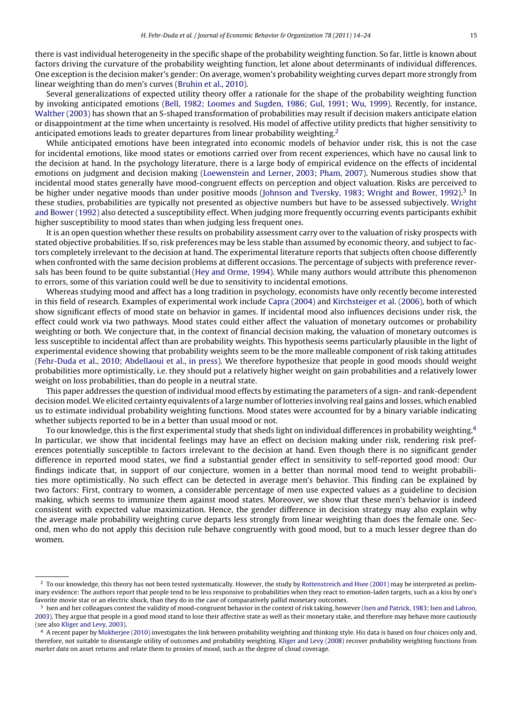there is vast individual heterogeneity in the specific shape of the probability weighting function. So far, little is known about factors driving the curvature of the probability weighting function, let alone about determinants of individual differences. One exception is the decision maker's gender: On average, women's probability weighting curves depart more strongly from linear weighting than do men's curves ([Bruhin et al., 2010\).](#page-9-0)

Several generalizations of expected utility theory offer a rationale for the shape of the probability weighting function by invoking anticipated emotions [\(Bell, 1982; Loomes and Sugden, 1986; Gul, 1991; Wu, 1999\).](#page-9-0) Recently, for instance, [Walther \(2003\)](#page-10-0) has shown that an S-shaped transformation of probabilities may result if decision makers anticipate elation or disappointment at the time when uncertainty is resolved. His model of affective utility predicts that higher sensitivity to anticipated emotions leads to greater departures from linear probability weighting.<sup>2</sup>

While anticipated emotions have been integrated into economic models of behavior under risk, this is not the case for incidental emotions, like mood states or emotions carried over from recent experiences, which have no causal link to the decision at hand. In the psychology literature, there is a large body of empirical evidence on the effects of incidental emotions on judgment and decision making ([Loewenstein and Lerner, 2003; Pham, 2007\).](#page-10-0) Numerous studies show that incidental mood states generally have mood-congruent effects on perception and object valuation. Risks are perceived to be higher under negative moods than under positive moods [\(Johnson and Tversky, 1983; Wright and Bower, 1992\).](#page-9-0)<sup>3</sup> In these studies, probabilities are typically not presented as objective numbers but have to be assessed subjectively. [Wright](#page-10-0) [and Bower \(1992\)](#page-10-0) also detected a susceptibility effect. When judging more frequently occurring events participants exhibit higher susceptibility to mood states than when judging less frequent ones.

It is an open question whether these results on probability assessment carry over to the valuation of risky prospects with stated objective probabilities. If so, risk preferences may be less stable than assumed by economic theory, and subject to factors completely irrelevant to the decision at hand. The experimental literature reports that subjects often choose differently when confronted with the same decision problems at different occasions. The percentage of subjects with preference reversals has been found to be quite substantial ([Hey and Orme, 1994\).](#page-9-0) While many authors would attribute this phenomenon to errors, some of this variation could well be due to sensitivity to incidental emotions.

Whereas studying mood and affect has a long tradition in psychology, economists have only recently become interested in this field of research. Examples of experimental work include [Capra \(2004\)](#page-9-0) and [Kirchsteiger et al. \(2006\), b](#page-9-0)oth of which show significant effects of mood state on behavior in games. If incidental mood also influences decisions under risk, the effect could work via two pathways. Mood states could either affect the valuation of monetary outcomes or probability weighting or both. We conjecture that, in the context of financial decision making, the valuation of monetary outcomes is less susceptible to incidental affect than are probability weights. This hypothesis seems particularly plausible in the light of experimental evidence showing that probability weights seem to be the more malleable component of risk taking attitudes [\(Fehr-Duda et al., 2010; Abdellaoui et al., in press\).](#page-9-0) We therefore hypothesize that people in good moods should weight probabilities more optimistically, i.e. they should put a relatively higher weight on gain probabilities and a relatively lower weight on loss probabilities, than do people in a neutral state.

This paper addresses the question of individual mood effects by estimating the parameters of a sign- and rank-dependent decision model.We elicited certainty equivalents of a large number of lotteries involving real gains and losses, which enabled us to estimate individual probability weighting functions. Mood states were accounted for by a binary variable indicating whether subjects reported to be in a better than usual mood or not.

To our knowledge, this is the first experimental study that sheds light on individual differences in probability weighting.<sup>4</sup> In particular, we show that incidental feelings may have an effect on decision making under risk, rendering risk preferences potentially susceptible to factors irrelevant to the decision at hand. Even though there is no significant gender difference in reported mood states, we find a substantial gender effect in sensitivity to self-reported good mood: Our findings indicate that, in support of our conjecture, women in a better than normal mood tend to weight probabilities more optimistically. No such effect can be detected in average men's behavior. This finding can be explained by two factors: First, contrary to women, a considerable percentage of men use expected values as a guideline to decision making, which seems to immunize them against mood states. Moreover, we show that these men's behavior is indeed consistent with expected value maximization. Hence, the gender difference in decision strategy may also explain why the average male probability weighting curve departs less strongly from linear weighting than does the female one. Second, men who do not apply this decision rule behave congruently with good mood, but to a much lesser degree than do women.

 $2$  To our knowledge, this theory has not been tested systematically. However, the study by [Rottenstreich and Hsee \(2001\)](#page-10-0) may be interpreted as preliminary evidence: The authors report that people tend to be less responsive to probabilities when they react to emotion-laden targets, such as a kiss by one's favorite movie star or an electric shock, than they do in the case of comparatively pallid monetary outcomes.

<sup>&</sup>lt;sup>3</sup> Isen and her colleagues contest the validity of mood-congruent behavior in the context of risk taking, however [\(Isen and Patrick, 1983; Isen and Labroo,](#page-9-0) [2003\).](#page-9-0) They argue that people in a good mood stand to lose their affective state as well as their monetary stake, and therefore may behave more cautiously (see also [Kliger and Levy, 2003\).](#page-9-0)

 $4$  A recent paper by [Mukherjee \(2010\)](#page-10-0) investigates the link between probability weighting and thinking style. His data is based on four choices only and, therefore, not suitable to disentangle utility of outcomes and probability weighting. [Kliger and Levy \(2008\)](#page-9-0) recover probability weighting functions from market data on asset returns and relate them to proxies of mood, such as the degree of cloud coverage.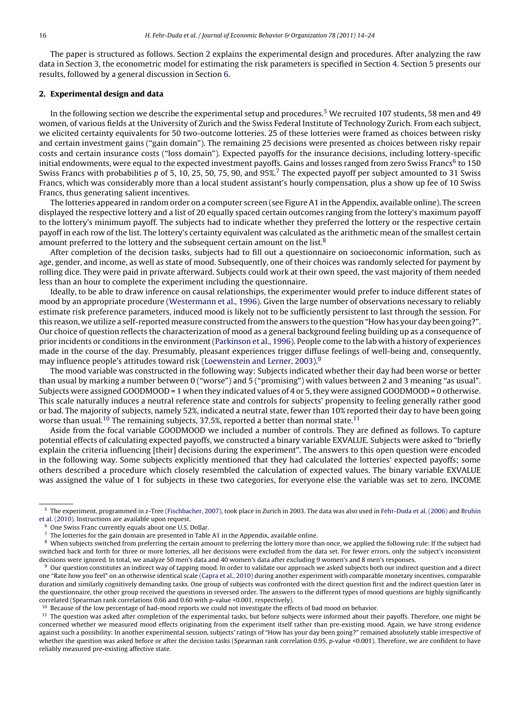The paper is structured as follows. Section 2 explains the experimental design and procedures. After analyzing the raw data in Section [3, t](#page-3-0)he econometric model for estimating the risk parameters is specified in Section [4. S](#page-3-0)ection [5](#page-5-0) presents our results, followed by a general discussion in Section [6.](#page-8-0)

#### **2. Experimental design and data**

In the following section we describe the experimental setup and procedures.5 We recruited 107 students, 58 men and 49 women, of various fields at the University of Zurich and the Swiss Federal Institute of Technology Zurich. From each subject, we elicited certainty equivalents for 50 two-outcome lotteries. 25 of these lotteries were framed as choices between risky and certain investment gains ("gain domain"). The remaining 25 decisions were presented as choices between risky repair costs and certain insurance costs ("loss domain"). Expected payoffs for the insurance decisions, including lottery-specific initial endowments, were equal to the expected investment payoffs. Gains and losses ranged from zero Swiss Francs<sup>6</sup> to 150 Swiss Francs with probabilities  $p$  of 5, 10, 25, 50, 75, 90, and  $95\%$ <sup>7</sup> The expected payoff per subject amounted to 31 Swiss Francs, which was considerably more than a local student assistant's hourly compensation, plus a show up fee of 10 Swiss Francs, thus generating salient incentives.

The lotteries appeared in random order on a computer screen (see Figure A1 in the Appendix, available online). The screen displayed the respective lottery and a list of 20 equally spaced certain outcomes ranging from the lottery's maximum payoff to the lottery's minimum payoff. The subjects had to indicate whether they preferred the lottery or the respective certain payoff in each row of the list. The lottery's certainty equivalent was calculated as the arithmetic mean of the smallest certain amount preferred to the lottery and the subsequent certain amount on the list. $8$ 

After completion of the decision tasks, subjects had to fill out a questionnaire on socioeconomic information, such as age, gender, and income, as well as state of mood. Subsequently, one of their choices was randomly selected for payment by rolling dice. They were paid in private afterward. Subjects could work at their own speed, the vast majority of them needed less than an hour to complete the experiment including the questionnaire.

Ideally, to be able to draw inference on causal relationships, the experimenter would prefer to induce different states of mood by an appropriate procedure ([Westermann et al., 1996\).](#page-10-0) Given the large number of observations necessary to reliably estimate risk preference parameters, induced mood is likely not to be sufficiently persistent to last through the session. For this reason, we utilize a self-reported measure constructed from the answers to the question "How has your day been going?". Our choice of question reflects the characterization of mood as a general background feeling building up as a consequence of prior incidents or conditions in the environment [\(Parkinson et al., 1996\).](#page-10-0) People come to the lab with a history of experiences made in the course of the day. Presumably, pleasant experiences trigger diffuse feelings of well-being and, consequently, may influence people's attitudes toward risk ([Loewenstein and Lerner, 2003\).](#page-10-0)<sup>9</sup>

The mood variable was constructed in the following way: Subjects indicated whether their day had been worse or better than usual by marking a number between 0 ("worse") and 5 ("promising") with values between 2 and 3 meaning "as usual". Subjects were assigned GOODMOOD = 1 when they indicated values of 4 or 5, they were assigned GOODMOOD = 0 otherwise. This scale naturally induces a neutral reference state and controls for subjects' propensity to feeling generally rather good or bad. The majority of subjects, namely 52%, indicated a neutral state, fewer than 10% reported their day to have been going worse than usual.<sup>10</sup> The remaining subjects, 37.5%, reported a better than normal state.<sup>11</sup>

Aside from the focal variable GOODMOOD we included a number of controls. They are defined as follows. To capture potential effects of calculating expected payoffs, we constructed a binary variable EXVALUE. Subjects were asked to "briefly explain the criteria influencing [their] decisions during the experiment". The answers to this open question were encoded in the following way. Some subjects explicitly mentioned that they had calculated the lotteries' expected payoffs; some others described a procedure which closely resembled the calculation of expected values. The binary variable EXVALUE was assigned the value of 1 for subjects in these two categories, for everyone else the variable was set to zero. INCOME

<sup>5</sup> The experiment, programmed in z-Tree ([Fischbacher, 2007\),](#page-9-0) took place in Zurich in 2003. The data was also used in [Fehr-Duda et al. \(2006\)](#page-9-0) and [Bruhin](#page-9-0) [et al. \(2010\). I](#page-9-0)nstructions are available upon request.

 $6$  One Swiss Franc currently equals about one U.S. Dollar.<br>The lotteries for the gain domain are presented in Table

<sup>7</sup> The lotteries for the gain domain are presented in Table A1 in the Appendix, available online.

<sup>&</sup>lt;sup>8</sup> When subjects switched from preferring the certain amount to preferring the lottery more than once, we applied the following rule: If the subject had switched back and forth for three or more lotteries, all her decisions were excluded from the data set. For fewer errors, only the subject's inconsistent decisions were ignored. In total, we analyze 50 men's data and 40 women's data after excluding 9 women's and 8 men's responses.

<sup>9</sup> Our question constitutes an indirect way of tapping mood. In order to validate our approach we asked subjects both our indirect question and a direct one "Rate how you feel" on an otherwise identical scale ([Capra et al., 2010\) d](#page-9-0)uring another experiment with comparable monetary incentives, comparable duration and similarly cognitively demanding tasks. One group of subjects was confronted with the direct question first and the indirect question later in the questionnaire, the other group received the questions in reversed order. The answers to the different types of mood questions are highly significantly correlated (Spearman rank correlations 0.66 and 0.60 with p-value <0.001, respectively).

<sup>&</sup>lt;sup>10</sup> Because of the low percentage of bad-mood reports we could not investigate the effects of bad mood on behavior.

<sup>&</sup>lt;sup>11</sup> The question was asked after completion of the experimental tasks, but before subjects were informed about their payoffs. Therefore, one might be concerned whether we measured mood effects originating from the experiment itself rather than pre-existing mood. Again, we have strong evidence against such a possibility: In another experimental session, subjects' ratings of "How has your day been going?" remained absolutely stable irrespective of whether the question was asked before or after the decision tasks (Spearman rank correlation 0.95, p-value <0.001). Therefore, we are confident to have reliably measured pre-existing affective state.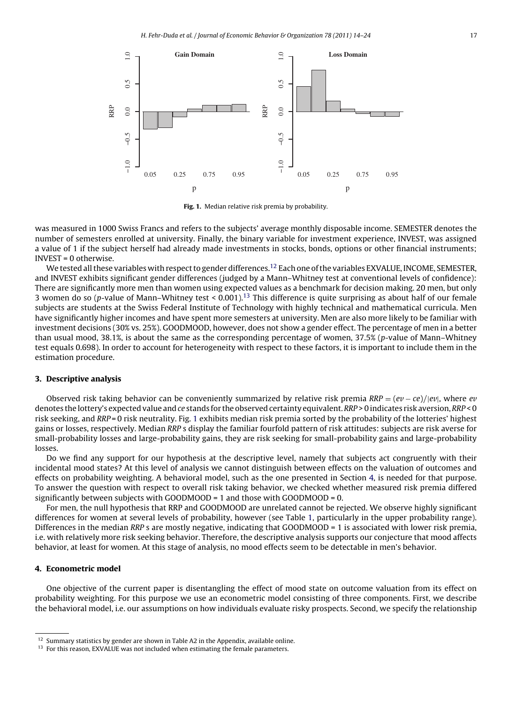<span id="page-3-0"></span>

**Fig. 1.** Median relative risk premia by probability.

was measured in 1000 Swiss Francs and refers to the subjects' average monthly disposable income. SEMESTER denotes the number of semesters enrolled at university. Finally, the binary variable for investment experience, INVEST, was assigned a value of 1 if the subject herself had already made investments in stocks, bonds, options or other financial instruments; INVEST = 0 otherwise.

We tested all these variables with respect to gender differences.<sup>12</sup> Each one of the variables EXVALUE, INCOME, SEMESTER, and INVEST exhibits significant gender differences (judged by a Mann–Whitney test at conventional levels of confidence): There are significantly more men than women using expected values as a benchmark for decision making. 20 men, but only 3 women do so (p-value of Mann–Whitney test < 0.001).<sup>13</sup> This difference is quite surprising as about half of our female subjects are students at the Swiss Federal Institute of Technology with highly technical and mathematical curricula. Men have significantly higher incomes and have spent more semesters at university. Men are also more likely to be familiar with investment decisions (30% vs. 25%). GOODMOOD, however, does not show a gender effect. The percentage of men in a better than usual mood, 38.1%, is about the same as the corresponding percentage of women, 37.5% (p-value of Mann–Whitney test equals 0.698). In order to account for heterogeneity with respect to these factors, it is important to include them in the estimation procedure.

#### **3. Descriptive analysis**

Observed risk taking behavior can be conveniently summarized by relative risk premia RRP = (e*v* − ce)/|e*v*|, where e*v* denotes the lottery's expected value and ce stands for the observed certainty equivalent. RRP > 0 indicates risk aversion, RRP < 0 risk seeking, and RRP = 0 risk neutrality. Fig. 1 exhibits median risk premia sorted by the probability of the lotteries' highest gains or losses, respectively. Median RRP s display the familiar fourfold pattern of risk attitudes: subjects are risk averse for small-probability losses and large-probability gains, they are risk seeking for small-probability gains and large-probability losses.

Do we find any support for our hypothesis at the descriptive level, namely that subjects act congruently with their incidental mood states? At this level of analysis we cannot distinguish between effects on the valuation of outcomes and effects on probability weighting. A behavioral model, such as the one presented in Section 4, is needed for that purpose. To answer the question with respect to overall risk taking behavior, we checked whether measured risk premia differed significantly between subjects with GOODMOOD = 1 and those with GOODMOOD = 0.

For men, the null hypothesis that RRP and GOODMOOD are unrelated cannot be rejected. We observe highly significant differences for women at several levels of probability, however (see Table [1, p](#page-4-0)articularly in the upper probability range). Differences in the median RRP s are mostly negative, indicating that GOODMOOD = 1 is associated with lower risk premia, i.e. with relatively more risk seeking behavior. Therefore, the descriptive analysis supports our conjecture that mood affects behavior, at least for women. At this stage of analysis, no mood effects seem to be detectable in men's behavior.

#### **4. Econometric model**

One objective of the current paper is disentangling the effect of mood state on outcome valuation from its effect on probability weighting. For this purpose we use an econometric model consisting of three components. First, we describe the behavioral model, i.e. our assumptions on how individuals evaluate risky prospects. Second, we specify the relationship

 $12$  Summary statistics by gender are shown in Table A2 in the Appendix, available online.

<sup>&</sup>lt;sup>13</sup> For this reason, EXVALUE was not included when estimating the female parameters.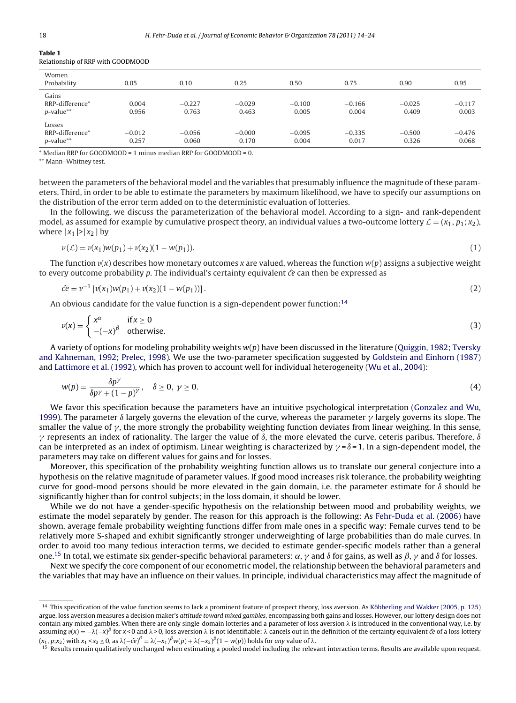| Women<br>Probability                      | 0.05              | 0.10              | 0.25              | 0.50              | 0.75              | 0.90              | 0.95              |
|-------------------------------------------|-------------------|-------------------|-------------------|-------------------|-------------------|-------------------|-------------------|
| Gains<br>RRP-difference*<br>$p$ -value**  | 0.004<br>0.956    | $-0.227$<br>0.763 | $-0.029$<br>0.463 | $-0.100$<br>0.005 | $-0.166$<br>0.004 | $-0.025$<br>0.409 | $-0.117$<br>0.003 |
| Losses<br>RRP-difference*<br>$p$ -value** | $-0.012$<br>0.257 | $-0.056$<br>0.060 | $-0.000$<br>0.170 | $-0.095$<br>0.004 | $-0.335$<br>0.017 | $-0.500$<br>0.326 | $-0.476$<br>0.068 |

#### <span id="page-4-0"></span>**Table 1** Relationship of RRP with GOODMOOD

 $*$  Median RRP for GOODMOOD = 1 minus median RRP for GOODMOOD = 0.

\*\* Mann–Whitney test.

between the parameters of the behavioral model and the variables that presumably influence the magnitude of these parameters. Third, in order to be able to estimate the parameters by maximum likelihood, we have to specify our assumptions on the distribution of the error term added on to the deterministic evaluation of lotteries.

In the following, we discuss the parameterization of the behavioral model. According to a sign- and rank-dependent model, as assumed for example by cumulative prospect theory, an individual values a two-outcome lottery  $\mathcal{L} = (x_1, p_1; x_2)$ , where  $|x_1| > |x_2|$  by

$$
\nu(\mathcal{L}) = \nu(x_1)w(p_1) + \nu(x_2)(1 - w(p_1)).
$$
\n(1)

The function  $v(x)$  describes how monetary outcomes x are valued, whereas the function  $w(p)$  assigns a subjective weight to every outcome probability p. The individual's certainty equivalent  $\hat{c}$  can then be expressed as

$$
\hat{c}e = v^{-1} \left[ v(x_1)w(p_1) + v(x_2)(1 - w(p_1)) \right]. \tag{2}
$$

An obvious candidate for the value function is a sign-dependent power function:<sup>14</sup>

$$
v(x) = \begin{cases} x^{\alpha} & \text{if } x \ge 0 \\ -( -x)^{\beta} & \text{otherwise.} \end{cases}
$$
 (3)

A variety of options for modeling probability weights  $w(p)$  have been discussed in the literature ([Quiggin, 1982; Tversky](#page-10-0) [and Kahneman, 1992; Prelec, 1998\).](#page-10-0) We use the two-parameter specification suggested by [Goldstein and Einhorn \(1987\)](#page-9-0) and [Lattimore et al. \(1992\), w](#page-10-0)hich has proven to account well for individual heterogeneity ([Wu et al., 2004\):](#page-10-0)

$$
w(p) = \frac{\delta p^{\gamma}}{\delta p^{\gamma} + (1 - p)^{\gamma}}, \quad \delta \ge 0, \ \gamma \ge 0.
$$
\n<sup>(4)</sup>

We favor this specification because the parameters have an intuitive psychological interpretation [\(Gonzalez and Wu,](#page-9-0) [1999\).](#page-9-0) The parameter  $\delta$  largely governs the elevation of the curve, whereas the parameter  $\gamma$  largely governs its slope. The smaller the value of  $\gamma$ , the more strongly the probability weighting function deviates from linear weighing. In this sense,  $\gamma$  represents an index of rationality. The larger the value of  $\delta$ , the more elevated the curve, ceteris paribus. Therefore,  $\delta$ can be interpreted as an index of optimism. Linear weighting is characterized by  $\gamma$  =  $\delta$  = 1. In a sign-dependent model, the parameters may take on different values for gains and for losses.

Moreover, this specification of the probability weighting function allows us to translate our general conjecture into a hypothesis on the relative magnitude of parameter values. If good mood increases risk tolerance, the probability weighting curve for good-mood persons should be more elevated in the gain domain, i.e. the parameter estimate for  $\delta$  should be significantly higher than for control subjects; in the loss domain, it should be lower.

While we do not have a gender-specific hypothesis on the relationship between mood and probability weights, we estimate the model separately by gender. The reason for this approach is the following: As [Fehr-Duda et al. \(2006\)](#page-9-0) have shown, average female probability weighting functions differ from male ones in a specific way: Female curves tend to be relatively more S-shaped and exhibit significantly stronger underweighting of large probabilities than do male curves. In order to avoid too many tedious interaction terms, we decided to estimate gender-specific models rather than a general one.<sup>15</sup> In total, we estimate six gender-specific behavioral parameters:  $\alpha$ ,  $\gamma$  and  $\delta$  for gains, as well as  $\beta$ ,  $\gamma$  and  $\delta$  for losses.

Next we specify the core component of our econometric model, the relationship between the behavioral parameters and the variables that may have an influence on their values. In principle, individual characteristics may affect the magnitude of

<sup>&</sup>lt;sup>14</sup> This specification of the value function seems to lack a prominent feature of prospect theory, loss aversion. As [Köbberling and Wakker \(2005, p. 125\)](#page-10-0) argue, loss aversion measures a decision maker's attitude toward mixed gambles, encompassing both gains and losses. However, our lottery design does not contain any mixed gambles. When there are only single-domain lotteries and a parameter of loss aversion  $\lambda$  is introduced in the conventional way, i.e. by assuming  $v(x) = -\lambda(-x)^\beta$  for x < 0 and  $\lambda$  > 0, loss aversion  $\lambda$  is not identifiable:  $\lambda$  cancels out in the definition of the certainty equivalent *ĉe* of a loss lottery  $(x_1, p; x_2)$  with  $x_1 < x_2 \le 0$ , as  $\lambda(-\hat{c}e)^{\beta} = \lambda(-x_1)^{\beta} w(p) + \lambda(-x_2)$ 

<sup>&</sup>lt;sup>15</sup> Results remain qualitatively unchanged when estimating a pooled model including the relevant interaction terms. Results are available upon request.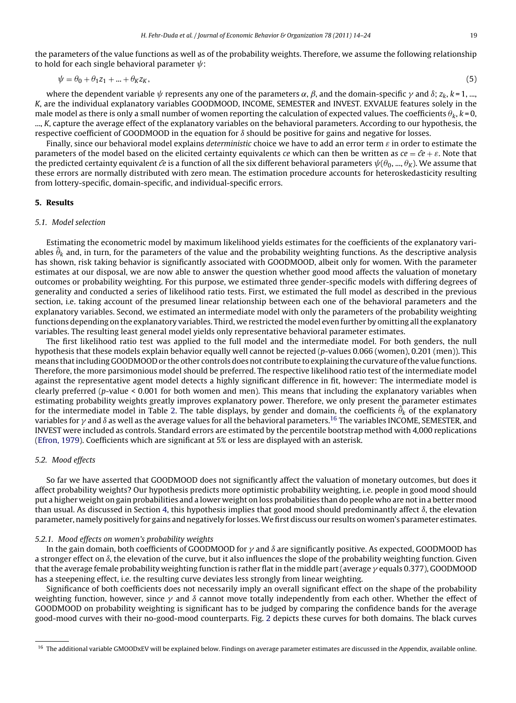<span id="page-5-0"></span>the parameters of the value functions as well as of the probability weights. Therefore, we assume the following relationship to hold for each single behavioral parameter  $\psi$ :

$$
\psi = \theta_0 + \theta_1 z_1 + \dots + \theta_K z_K,\tag{5}
$$

where the dependent variable  $\psi$  represents any one of the parameters  $\alpha,$   $\beta,$  and the domain-specific  $\gamma$  and  $\delta;$   $z_k$ ,  $k$  = 1, …, K, are the individual explanatory variables GOODMOOD, INCOME, SEMESTER and INVEST. EXVALUE features solely in the male model as there is only a small number of women reporting the calculation of expected values. The coefficients  $\theta_k$ ,  $k = 0$ , ..., K, capture the average effect of the explanatory variables on the behavioral parameters. According to our hypothesis, the respective coefficient of GOODMOOD in the equation for  $\delta$  should be positive for gains and negative for losses.

Finally, since our behavioral model explains deterministic choice we have to add an error term  $\varepsilon$  in order to estimate the parameters of the model based on the elicited certainty equivalents ce which can then be written as  $ce = \hat{ce} + \varepsilon$ . Note that the predicted certainty equivalent  $\hat{c}e$  is a function of all the six different behavioral parameters  $\psi(\theta_0, ..., \theta_K)$ . We assume that these errors are normally distributed with zero mean. The estimation procedure accounts for heteroskedasticity resulting from lottery-specific, domain-specific, and individual-specific errors.

#### **5. Results**

## 5.1. Model selection

Estimating the econometric model by maximum likelihood yields estimates for the coefficients of the explanatory variables  $\hat{\theta}_k$  and, in turn, for the parameters of the value and the probability weighting functions. As the descriptive analysis has shown, risk taking behavior is significantly associated with GOODMOOD, albeit only for women. With the parameter estimates at our disposal, we are now able to answer the question whether good mood affects the valuation of monetary outcomes or probability weighting. For this purpose, we estimated three gender-specific models with differing degrees of generality and conducted a series of likelihood ratio tests. First, we estimated the full model as described in the previous section, i.e. taking account of the presumed linear relationship between each one of the behavioral parameters and the explanatory variables. Second, we estimated an intermediate model with only the parameters of the probability weighting functions depending on the explanatory variables. Third, we restricted the model even further by omitting all the explanatory variables. The resulting least general model yields only representative behavioral parameter estimates.

The first likelihood ratio test was applied to the full model and the intermediate model. For both genders, the null hypothesis that these models explain behavior equally well cannot be rejected (p-values 0.066 (women), 0.201 (men)). This means that including GOODMOOD or the other controls does not contribute to explaining the curvature of the value functions. Therefore, the more parsimonious model should be preferred. The respective likelihood ratio test of the intermediate model against the representative agent model detects a highly significant difference in fit, however: The intermediate model is clearly preferred (p-value < 0.001 for both women and men). This means that including the explanatory variables when estimating probability weights greatly improves explanatory power. Therefore, we only present the parameter estimates for the intermediate model in Table [2. T](#page-6-0)he table displays, by gender and domain, the coefficients  $\hat{\theta}_k$  of the explanatory variables for  $\gamma$  and  $\delta$  as well as the average values for all the behavioral parameters.<sup>16</sup> The variables INCOME, SEMESTER, and INVEST were included as controls. Standard errors are estimated by the percentile bootstrap method with 4,000 replications [\(Efron, 1979\).](#page-9-0) Coefficients which are significant at 5% or less are displayed with an asterisk.

#### 5.2. Mood effects

So far we have asserted that GOODMOOD does not significantly affect the valuation of monetary outcomes, but does it affect probability weights? Our hypothesis predicts more optimistic probability weighting, i.e. people in good mood should put a higher weight on gain probabilities and a lower weight on loss probabilities than do people who are not in a better mood than usual. As discussed in Section [4, t](#page-3-0)his hypothesis implies that good mood should predominantly affect  $\delta$ , the elevation parameter, namely positively for gains and negatively for losses.We first discuss our results on women's parameter estimates.

#### 5.2.1. Mood effects on women's probability weights

In the gain domain, both coefficients of GOODMOOD for  $\gamma$  and  $\delta$  are significantly positive. As expected, GOODMOOD has a stronger effect on  $\delta$ , the elevation of the curve, but it also influences the slope of the probability weighting function. Given that the average female probability weighting function is rather flat in the middle part (average  $\gamma$  equals 0.377), GOODMOOD has a steepening effect, i.e. the resulting curve deviates less strongly from linear weighting.

Significance of both coefficients does not necessarily imply an overall significant effect on the shape of the probability weighting function, however, since  $\gamma$  and  $\delta$  cannot move totally independently from each other. Whether the effect of GOODMOOD on probability weighting is significant has to be judged by comparing the confidence bands for the average good-mood curves with their no-good-mood counterparts. Fig. [2](#page-6-0) depicts these curves for both domains. The black curves

<sup>&</sup>lt;sup>16</sup> The additional variable GMOODxEV will be explained below. Findings on average parameter estimates are discussed in the Appendix, available online.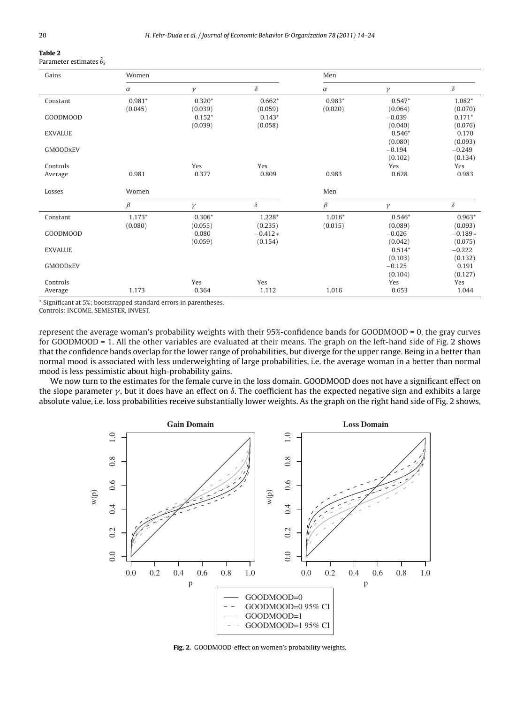#### <span id="page-6-0"></span>**Table 2** Parameter estimates ˆ

|  | $\alpha$ arameter estimates $v_k$ |  |
|--|-----------------------------------|--|
|  |                                   |  |

| Gains           | Women    |          |           | Men      |          |           |
|-----------------|----------|----------|-----------|----------|----------|-----------|
|                 | $\alpha$ | $\gamma$ | $\delta$  | $\alpha$ | $\gamma$ | $\delta$  |
| Constant        | $0.981*$ | $0.320*$ | $0.662*$  | $0.983*$ | $0.547*$ | 1.082*    |
|                 | (0.045)  | (0.039)  | (0.059)   | (0.020)  | (0.064)  | (0.070)   |
| GOODMOOD        |          | $0.152*$ | $0.143*$  |          | $-0.039$ | $0.171*$  |
|                 |          | (0.039)  | (0.058)   |          | (0.040)  | (0.076)   |
| <b>EXVALUE</b>  |          |          |           |          | $0.546*$ | 0.170     |
|                 |          |          |           |          | (0.080)  | (0.093)   |
| <b>GMOODxEV</b> |          |          |           |          | $-0.194$ | $-0.249$  |
|                 |          |          |           |          | (0.102)  | (0.134)   |
| Controls        |          | Yes      | Yes       |          | Yes      | Yes       |
| Average         | 0.981    | 0.377    | 0.809     | 0.983    | 0.628    | 0.983     |
| Losses          | Women    |          |           | Men      |          |           |
|                 | $\beta$  | $\gamma$ | $\delta$  | $\beta$  | $\gamma$ | $\delta$  |
| Constant        | $1.173*$ | $0.306*$ | $1.228*$  | $1.016*$ | $0.546*$ | $0.963*$  |
|                 | (0.080)  | (0.055)  | (0.235)   | (0.015)  | (0.089)  | (0.093)   |
| GOODMOOD        |          | 0.080    | $-0.412*$ |          | $-0.026$ | $-0.189*$ |
|                 |          | (0.059)  | (0.154)   |          | (0.042)  | (0.075)   |
| <b>EXVALUE</b>  |          |          |           |          | $0.514*$ | $-0.222$  |
|                 |          |          |           |          | (0.103)  | (0.132)   |
| <b>GMOODxEV</b> |          |          |           |          | $-0.125$ | 0.191     |
|                 |          |          |           |          | (0.104)  | (0.127)   |
| Controls        |          | Yes      | Yes       |          | Yes      | Yes       |
| Average         | 1.173    | 0.364    | 1.112     | 1.016    | 0.653    | 1.044     |

\* Significant at 5%; bootstrapped standard errors in parentheses.

Controls: INCOME, SEMESTER, INVEST.

represent the average woman's probability weights with their 95%-confidence bands for GOODMOOD = 0, the gray curves for GOODMOOD = 1. All the other variables are evaluated at their means. The graph on the left-hand side of Fig. 2 shows that the confidence bands overlap for the lower range of probabilities, but diverge for the upper range. Being in a better than normal mood is associated with less underweighting of large probabilities, i.e. the average woman in a better than normal mood is less pessimistic about high-probability gains.

We now turn to the estimates for the female curve in the loss domain. GOODMOOD does not have a significant effect on the slope parameter  $\gamma$ , but it does have an effect on  $\delta$ . The coefficient has the expected negative sign and exhibits a large absolute value, i.e. loss probabilities receive substantially lower weights. As the graph on the right hand side of Fig. 2 shows,



**Fig. 2.** GOODMOOD-effect on women's probability weights.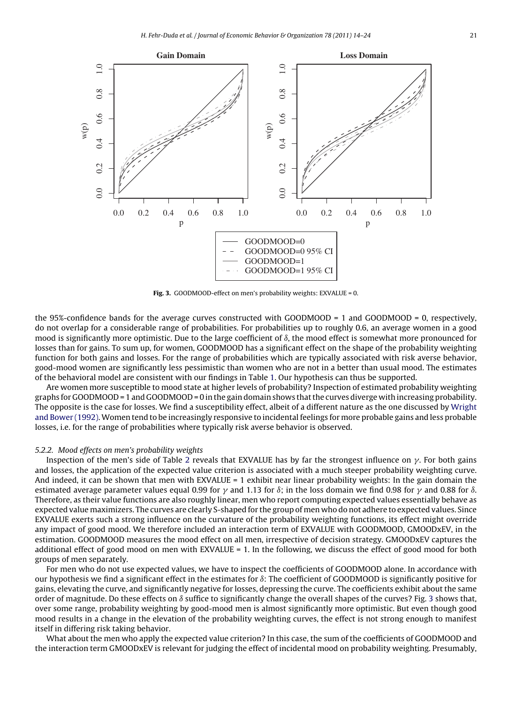

Fig. 3. GOODMOOD-effect on men's probability weights: EXVALUE = 0.

the 95%-confidence bands for the average curves constructed with GOODMOOD = 1 and GOODMOOD = 0, respectively, do not overlap for a considerable range of probabilities. For probabilities up to roughly 0.6, an average women in a good mood is significantly more optimistic. Due to the large coefficient of  $\delta$ , the mood effect is somewhat more pronounced for losses than for gains. To sum up, for women, GOODMOOD has a significant effect on the shape of the probability weighting function for both gains and losses. For the range of probabilities which are typically associated with risk averse behavior, good-mood women are significantly less pessimistic than women who are not in a better than usual mood. The estimates of the behavioral model are consistent with our findings in Table [1. O](#page-4-0)ur hypothesis can thus be supported.

Are women more susceptible to mood state at higher levels of probability? Inspection of estimated probability weighting graphs for GOODMOOD = 1 and GOODMOOD = 0 in the gain domain shows that the curves diverge with increasing probability. The opposite is the case for losses. We find a susceptibility effect, albeit of a different nature as the one discussed by [Wright](#page-10-0) [and Bower \(1992\).W](#page-10-0)omen tend to be increasingly responsive to incidental feelings for more probable gains and less probable losses, i.e. for the range of probabilities where typically risk averse behavior is observed.

#### 5.2.2. Mood effects on men's probability weights

Inspection of the men's side of Table [2](#page-6-0) reveals that EXVALUE has by far the strongest influence on  $\gamma.$  For both gains and losses, the application of the expected value criterion is associated with a much steeper probability weighting curve. And indeed, it can be shown that men with EXVALUE = 1 exhibit near linear probability weights: In the gain domain the estimated average parameter values equal 0.99 for  $\gamma$  and 1.13 for  $\delta$ ; in the loss domain we find 0.98 for  $\gamma$  and 0.88 for  $\delta$ . Therefore, as their value functions are also roughly linear, men who report computing expected values essentially behave as expected value maximizers. The curves are clearly S-shaped for the group of men who do not adhere to expected values. Since EXVALUE exerts such a strong influence on the curvature of the probability weighting functions, its effect might override any impact of good mood. We therefore included an interaction term of EXVALUE with GOODMOOD, GMOODxEV, in the estimation. GOODMOOD measures the mood effect on all men, irrespective of decision strategy. GMOODxEV captures the additional effect of good mood on men with EXVALUE = 1. In the following, we discuss the effect of good mood for both groups of men separately.

For men who do not use expected values, we have to inspect the coefficients of GOODMOOD alone. In accordance with our hypothesis we find a significant effect in the estimates for  $\delta$ : The coefficient of GOODMOOD is significantly positive for gains, elevating the curve, and significantly negative for losses, depressing the curve. The coefficients exhibit about the same order of magnitude. Do these effects on  $\delta$  suffice to significantly change the overall shapes of the curves? Fig. 3 shows that, over some range, probability weighting by good-mood men is almost significantly more optimistic. But even though good mood results in a change in the elevation of the probability weighting curves, the effect is not strong enough to manifest itself in differing risk taking behavior.

What about the men who apply the expected value criterion? In this case, the sum of the coefficients of GOODMOOD and the interaction term GMOODxEV is relevant for judging the effect of incidental mood on probability weighting. Presumably,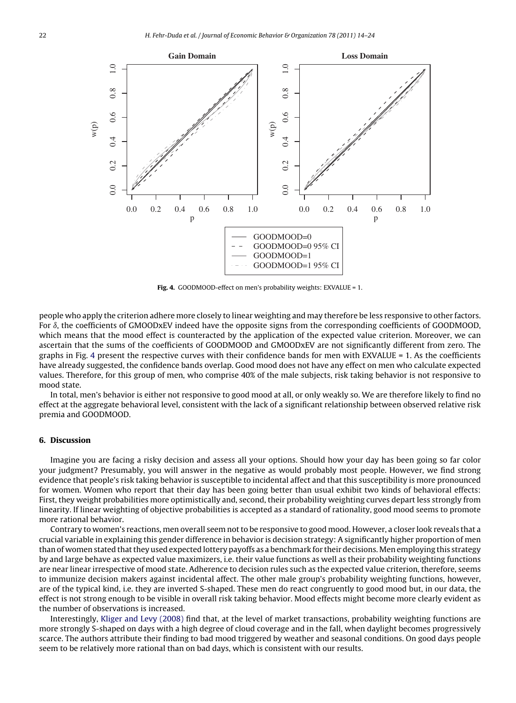<span id="page-8-0"></span>

Fig. 4. GOODMOOD-effect on men's probability weights: EXVALUE = 1.

people who apply the criterion adhere more closely to linear weighting and may therefore be less responsive to other factors. For  $\delta$ , the coefficients of GMOODxEV indeed have the opposite signs from the corresponding coefficients of GOODMOOD, which means that the mood effect is counteracted by the application of the expected value criterion. Moreover, we can ascertain that the sums of the coefficients of GOODMOOD and GMOODxEV are not significantly different from zero. The graphs in Fig. 4 present the respective curves with their confidence bands for men with EXVALUE = 1. As the coefficients have already suggested, the confidence bands overlap. Good mood does not have any effect on men who calculate expected values. Therefore, for this group of men, who comprise 40% of the male subjects, risk taking behavior is not responsive to mood state.

In total, men's behavior is either not responsive to good mood at all, or only weakly so. We are therefore likely to find no effect at the aggregate behavioral level, consistent with the lack of a significant relationship between observed relative risk premia and GOODMOOD.

#### **6. Discussion**

Imagine you are facing a risky decision and assess all your options. Should how your day has been going so far color your judgment? Presumably, you will answer in the negative as would probably most people. However, we find strong evidence that people's risk taking behavior is susceptible to incidental affect and that this susceptibility is more pronounced for women. Women who report that their day has been going better than usual exhibit two kinds of behavioral effects: First, they weight probabilities more optimistically and, second, their probability weighting curves depart less strongly from linearity. If linear weighting of objective probabilities is accepted as a standard of rationality, good mood seems to promote more rational behavior.

Contrary to women's reactions, men overall seem not to be responsive to good mood. However, a closer look reveals that a crucial variable in explaining this gender difference in behavior is decision strategy: A significantly higher proportion of men than of women stated that they used expected lottery payoffs as a benchmark for their decisions. Men employing this strategy by and large behave as expected value maximizers, i.e. their value functions as well as their probability weighting functions are near linear irrespective of mood state. Adherence to decision rules such as the expected value criterion, therefore, seems to immunize decision makers against incidental affect. The other male group's probability weighting functions, however, are of the typical kind, i.e. they are inverted S-shaped. These men do react congruently to good mood but, in our data, the effect is not strong enough to be visible in overall risk taking behavior. Mood effects might become more clearly evident as the number of observations is increased.

Interestingly, [Kliger and Levy \(2008\)](#page-9-0) find that, at the level of market transactions, probability weighting functions are more strongly S-shaped on days with a high degree of cloud coverage and in the fall, when daylight becomes progressively scarce. The authors attribute their finding to bad mood triggered by weather and seasonal conditions. On good days people seem to be relatively more rational than on bad days, which is consistent with our results.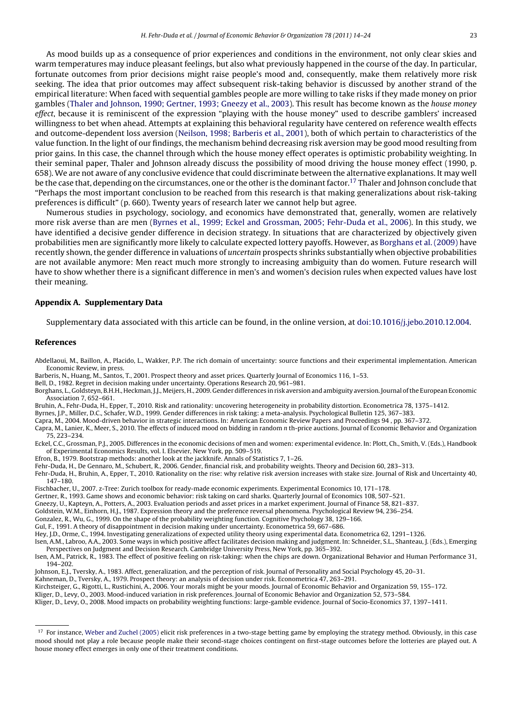<span id="page-9-0"></span>As mood builds up as a consequence of prior experiences and conditions in the environment, not only clear skies and warm temperatures may induce pleasant feelings, but also what previously happened in the course of the day. In particular, fortunate outcomes from prior decisions might raise people's mood and, consequently, make them relatively more risk seeking. The idea that prior outcomes may affect subsequent risk-taking behavior is discussed by another strand of the empirical literature: When faced with sequential gambles people are more willing to take risks if they made money on prior gambles ([Thaler and Johnson, 1990; Gertner, 1993; Gneezy et al., 2003\).](#page-10-0) This result has become known as the house money effect, because it is reminiscent of the expression "playing with the house money" used to describe gamblers' increased willingness to bet when ahead. Attempts at explaining this behavioral regularity have centered on reference wealth effects and outcome-dependent loss aversion [\(Neilson, 1998; Barberis et al., 2001\),](#page-10-0) both of which pertain to characteristics of the value function. In the light of our findings, the mechanism behind decreasing risk aversion may be good mood resulting from

prior gains. In this case, the channel through which the house money effect operates is optimistic probability weighting. In their seminal paper, Thaler and Johnson already discuss the possibility of mood driving the house money effect (1990, p. 658). We are not aware of any conclusive evidence that could discriminate between the alternative explanations. It may well be the case that, depending on the circumstances, one or the other is the dominant factor.<sup>17</sup> Thaler and Johnson conclude that "Perhaps the most important conclusion to be reached from this research is that making generalizations about risk-taking preferences is difficult" (p. 660). Twenty years of research later we cannot help but agree.

Numerous studies in psychology, sociology, and economics have demonstrated that, generally, women are relatively more risk averse than are men (Byrnes et al., 1999; Eckel and Grossman, 2005; Fehr-Duda et al., 2006). In this study, we have identified a decisive gender difference in decision strategy. In situations that are characterized by objectively given probabilities men are significantly more likely to calculate expected lottery payoffs. However, as Borghans et al. (2009) have recently shown, the gender difference in valuations of uncertain prospects shrinks substantially when objective probabilities are not available anymore: Men react much more strongly to increasing ambiguity than do women. Future research will have to show whether there is a significant difference in men's and women's decision rules when expected values have lost their meaning.

### **Appendix A. Supplementary Data**

Supplementary data associated with this article can be found, in the online version, at [doi:10.1016/j.jebo.2010.12.004](http://dx.doi.org/10.1016/j.jebo.2010.12.004).

#### **References**

- Abdellaoui, M., Baillon, A., Placido, L., Wakker, P.P. The rich domain of uncertainty: source functions and their experimental implementation. American Economic Review, in press.
- Barberis, N., Huang, M., Santos, T., 2001. Prospect theory and asset prices. Quarterly Journal of Economics 116, 1–53.
- Bell, D., 1982. Regret in decision making under uncertainty. Operations Research 20, 961–981.
- Borghans, L., Goldsteyn, B.H.H., Heckman, J.J., Meijers, H., 2009. Gender differences in risk aversion and ambiguity aversion. Journal of the European Economic Association 7, 652–661.
- Bruhin, A., Fehr-Duda, H., Epper, T., 2010. Risk and rationality: uncovering heterogeneity in probability distortion. Econometrica 78, 1375–1412.
- Byrnes, J.P., Miller, D.C., Schafer, W.D., 1999. Gender differences in risk taking: a meta-analysis. Psychological Bulletin 125, 367–383.
- Capra, M., 2004. Mood-driven behavior in strategic interactions. In: American Economic Review Papers and Proceedings 94 , pp. 367–372.
- Capra, M., Lanier, K., Meer, S., 2010. The effects of induced mood on bidding in random n th-price auctions. Journal of Economic Behavior and Organization 75, 223–234.
- Eckel, C.C., Grossman, P.J., 2005. Differences in the economic decisions of men and women: experimental evidence. In: Plott, Ch., Smith, V. (Eds.), Handbook of Experimental Economics Results, vol. I. Elsevier, New York, pp. 509–519.
- Efron, B., 1979. Bootstrap methods: another look at the jackknife. Annals of Statistics 7, 1–26.
- Fehr-Duda, H., De Gennaro, M., Schubert, R., 2006. Gender, financial risk, and probability weights. Theory and Decision 60, 283–313.
- Fehr-Duda, H., Bruhin, A., Epper, T., 2010. Rationality on the rise: why relative risk aversion increases with stake size. Journal of Risk and Uncertainty 40, 147–180.
- Fischbacher, U., 2007. z-Tree: Zurich toolbox for ready-made economic experiments. Experimental Economics 10, 171–178.
- Gertner, R., 1993. Game shows and economic behavior: risk taking on card sharks. Quarterly Journal of Economics 108, 507–521.
- Gneezy, U., Kapteyn, A., Potters, A., 2003. Evaluation periods and asset prices in a market experiment. Journal of Finance 58, 821–837.
- Goldstein, W.M., Einhorn, H.J., 1987. Expression theory and the preference reversal phenomena. Psychological Review 94, 236–254.
- Gonzalez, R., Wu, G., 1999. On the shape of the probability weighting function. Cognitive Psychology 38, 129–166. Gul, F., 1991. A theory of disappointment in decision making under uncertainty. Econometrica 59, 667–686.
- 
- Hey, J.D., Orme, C., 1994. Investigating generalizations of expected utility theory using experimental data. Econometrica 62, 1291–1326.
- Isen, A.M., Labroo, A.A., 2003. Some ways in which positive affect facilitates decision making and judgment. In: Schneider, S.L., Shanteau, J. (Eds.), Emerging Perspectives on Judgment and Decision Research. Cambridge University Press, New York, pp. 365–392.
- Isen, A.M., Patrick, R., 1983. The effect of positive feeling on risk-taking: when the chips are down. Organizational Behavior and Human Performance 31, 194–202.
- Johnson, E.J., Tversky, A., 1983. Affect, generalization, and the perception of risk. Journal of Personality and Social Psychology 45, 20–31.
- Kahneman, D., Tversky, A., 1979. Prospect theory: an analysis of decision under risk. Econometrica 47, 263–291.
- Kirchsteiger, G., Rigotti, L., Rustichini, A., 2006. Your morals might be your moods. Journal of Economic Behavior and Organization 59, 155–172.
- Kliger, D., Levy, O., 2003. Mood-induced variation in risk preferences. Journal of Economic Behavior and Organization 52, 573–584.
- Kliger, D., Levy, O., 2008. Mood impacts on probability weighting functions: large-gamble evidence. Journal of Socio-Economics 37, 1397–1411.

<sup>&</sup>lt;sup>17</sup> For instance, [Weber and Zuchel \(2005\)](#page-10-0) elicit risk preferences in a two-stage betting game by employing the strategy method. Obviously, in this case mood should not play a role because people make their second-stage choices contingent on first-stage outcomes before the lotteries are played out. A house money effect emerges in only one of their treatment conditions.